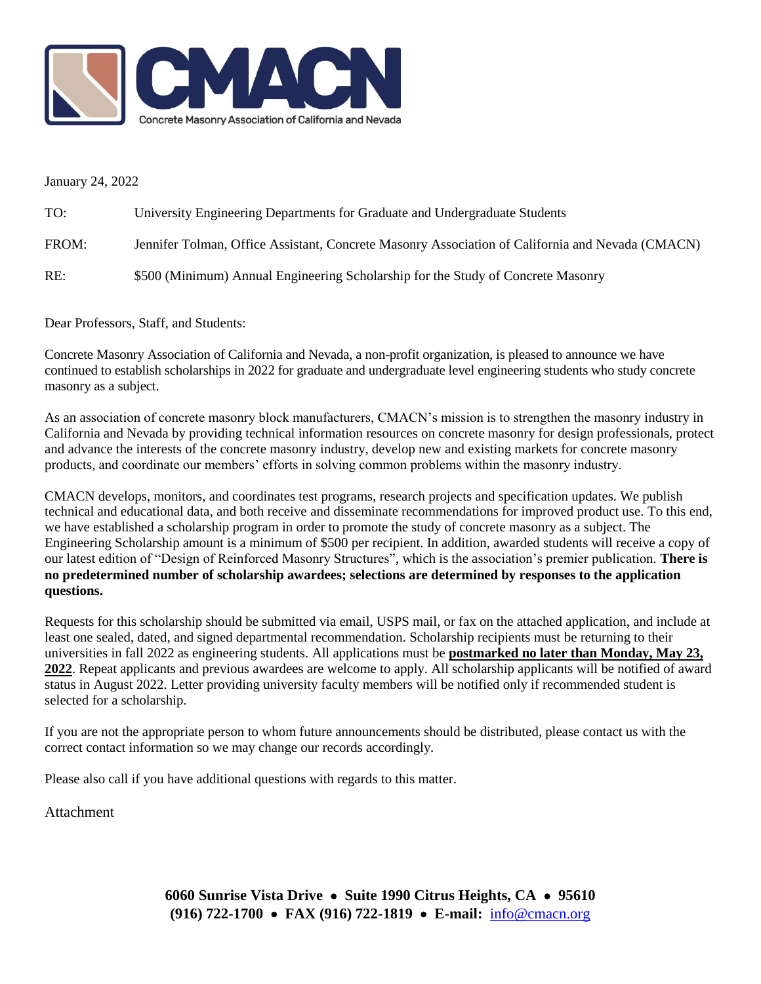

January 24, 2022

| TO:   | University Engineering Departments for Graduate and Undergraduate Students                       |
|-------|--------------------------------------------------------------------------------------------------|
| FROM: | Jennifer Tolman, Office Assistant, Concrete Masonry Association of California and Nevada (CMACN) |
| RE:   | \$500 (Minimum) Annual Engineering Scholarship for the Study of Concrete Masonry                 |

Dear Professors, Staff, and Students:

Concrete Masonry Association of California and Nevada, a non-profit organization, is pleased to announce we have continued to establish scholarships in 2022 for graduate and undergraduate level engineering students who study concrete masonry as a subject.

As an association of concrete masonry block manufacturers, CMACN's mission is to strengthen the masonry industry in California and Nevada by providing technical information resources on concrete masonry for design professionals, protect and advance the interests of the concrete masonry industry, develop new and existing markets for concrete masonry products, and coordinate our members' efforts in solving common problems within the masonry industry.

CMACN develops, monitors, and coordinates test programs, research projects and specification updates. We publish technical and educational data, and both receive and disseminate recommendations for improved product use. To this end, we have established a scholarship program in order to promote the study of concrete masonry as a subject. The Engineering Scholarship amount is a minimum of \$500 per recipient. In addition, awarded students will receive a copy of our latest edition of "Design of Reinforced Masonry Structures", which is the association's premier publication. **There is no predetermined number of scholarship awardees; selections are determined by responses to the application questions.**

Requests for this scholarship should be submitted via email, USPS mail, or fax on the attached application, and include at least one sealed, dated, and signed departmental recommendation. Scholarship recipients must be returning to their universities in fall 2022 as engineering students. All applications must be **postmarked no later than Monday, May 23, 2022**. Repeat applicants and previous awardees are welcome to apply. All scholarship applicants will be notified of award status in August 2022. Letter providing university faculty members will be notified only if recommended student is selected for a scholarship.

If you are not the appropriate person to whom future announcements should be distributed, please contact us with the correct contact information so we may change our records accordingly.

Please also call if you have additional questions with regards to this matter.

**Attachment**